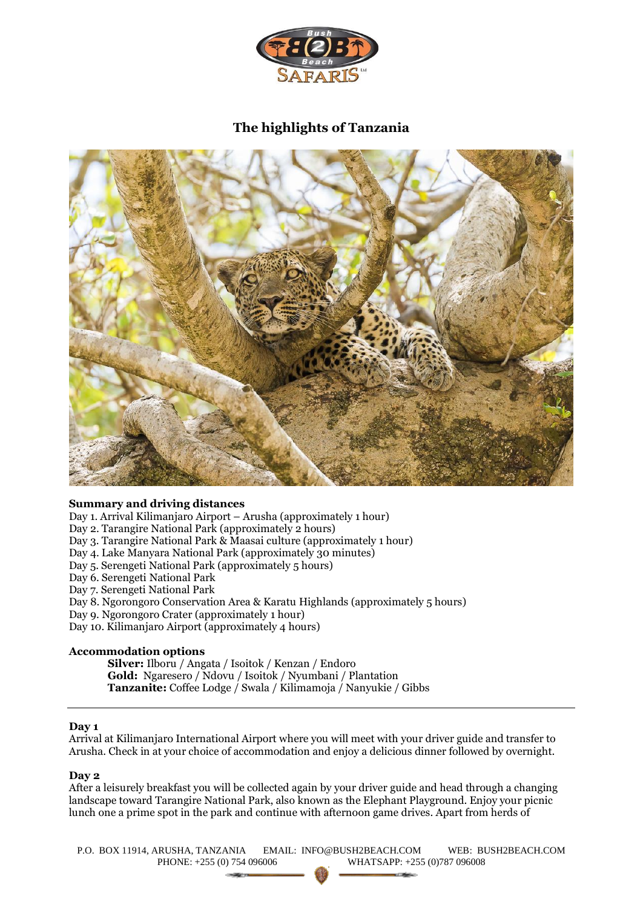

# **The highlights of Tanzania**



# **Summary and driving distances**

Day 1. Arrival Kilimanjaro Airport – Arusha (approximately 1 hour)

Day 2. Tarangire National Park (approximately 2 hours)

Day 3. Tarangire National Park & Maasai culture (approximately 1 hour)

Day 4. Lake Manyara National Park (approximately 30 minutes)

Day 5. Serengeti National Park (approximately 5 hours)

Day 6. Serengeti National Park

Day 7. Serengeti National Park

Day 8. Ngorongoro Conservation Area & Karatu Highlands (approximately 5 hours)

Day 9. Ngorongoro Crater (approximately 1 hour)

Day 10. Kilimanjaro Airport (approximately 4 hours)

# **Accommodation options**

**Silver:** Ilboru / Angata / Isoitok / Kenzan / Endoro **Gold:** Ngaresero / Ndovu / Isoitok / Nyumbani / Plantation **Tanzanite:** Coffee Lodge / Swala / Kilimamoja / Nanyukie / Gibbs

## **Day 1**

Arrival at Kilimanjaro International Airport where you will meet with your driver guide and transfer to Arusha. Check in at your choice of accommodation and enjoy a delicious dinner followed by overnight.

#### **Day 2**

After a leisurely breakfast you will be collected again by your driver guide and head through a changing landscape toward Tarangire National Park, also known as the Elephant Playground. Enjoy your picnic lunch one a prime spot in the park and continue with afternoon game drives. Apart from herds of

P.O. BOX 11914, ARUSHA, TANZANIA EMAIL: INFO@BUSH2BEACH.COM WEB: BUSH2BEACH.COM PHONE: +255 (0) 754 096006 WHATSAPP: +255 (0)787 096008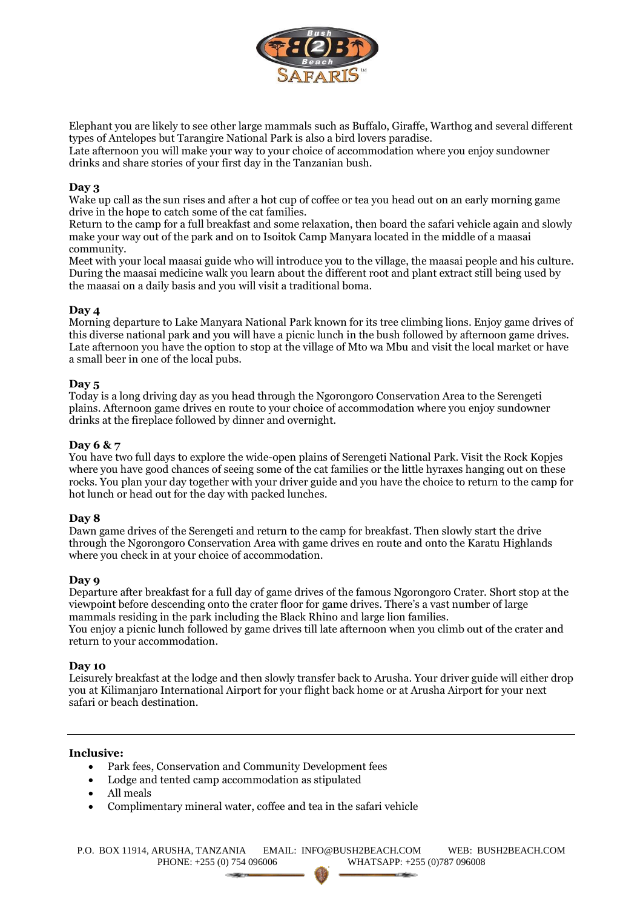

Elephant you are likely to see other large mammals such as Buffalo, Giraffe, Warthog and several different types of Antelopes but Tarangire National Park is also a bird lovers paradise.

Late afternoon you will make your way to your choice of accommodation where you enjoy sundowner drinks and share stories of your first day in the Tanzanian bush.

## **Day 3**

Wake up call as the sun rises and after a hot cup of coffee or tea you head out on an early morning game drive in the hope to catch some of the cat families.

Return to the camp for a full breakfast and some relaxation, then board the safari vehicle again and slowly make your way out of the park and on to Isoitok Camp Manyara located in the middle of a maasai community.

Meet with your local maasai guide who will introduce you to the village, the maasai people and his culture. During the maasai medicine walk you learn about the different root and plant extract still being used by the maasai on a daily basis and you will visit a traditional boma.

## **Day 4**

Morning departure to Lake Manyara National Park known for its tree climbing lions. Enjoy game drives of this diverse national park and you will have a picnic lunch in the bush followed by afternoon game drives. Late afternoon you have the option to stop at the village of Mto wa Mbu and visit the local market or have a small beer in one of the local pubs.

## **Day 5**

Today is a long driving day as you head through the Ngorongoro Conservation Area to the Serengeti plains. Afternoon game drives en route to your choice of accommodation where you enjoy sundowner drinks at the fireplace followed by dinner and overnight.

## **Day 6 & 7**

You have two full days to explore the wide-open plains of Serengeti National Park. Visit the Rock Kopjes where you have good chances of seeing some of the cat families or the little hyraxes hanging out on these rocks. You plan your day together with your driver guide and you have the choice to return to the camp for hot lunch or head out for the day with packed lunches.

#### **Day 8**

Dawn game drives of the Serengeti and return to the camp for breakfast. Then slowly start the drive through the Ngorongoro Conservation Area with game drives en route and onto the Karatu Highlands where you check in at your choice of accommodation.

#### **Day 9**

Departure after breakfast for a full day of game drives of the famous Ngorongoro Crater. Short stop at the viewpoint before descending onto the crater floor for game drives. There's a vast number of large mammals residing in the park including the Black Rhino and large lion families. You enjoy a picnic lunch followed by game drives till late afternoon when you climb out of the crater and return to your accommodation.

## **Day 10**

Leisurely breakfast at the lodge and then slowly transfer back to Arusha. Your driver guide will either drop you at Kilimanjaro International Airport for your flight back home or at Arusha Airport for your next safari or beach destination.

#### **Inclusive:**

- Park fees, Conservation and Community Development fees
- Lodge and tented camp accommodation as stipulated
- All meals
- Complimentary mineral water, coffee and tea in the safari vehicle